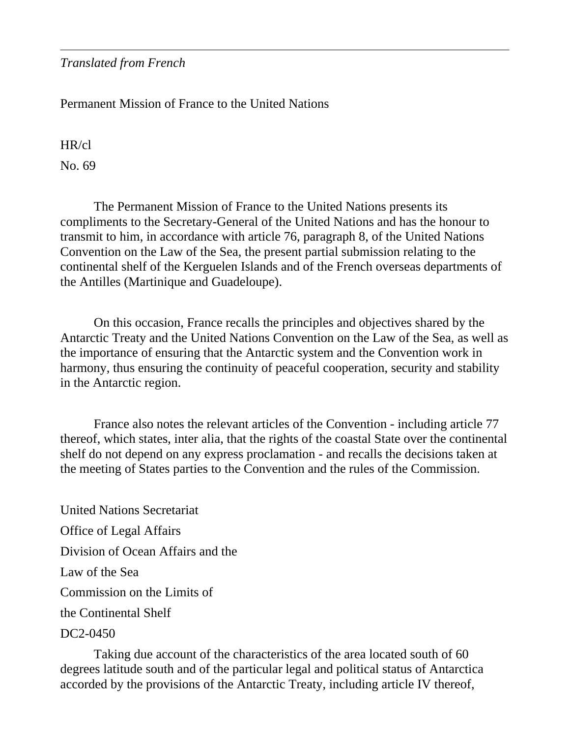*Translated from French* 

Permanent Mission of France to the United Nations

HR/cl

No. 69

 The Permanent Mission of France to the United Nations presents its compliments to the Secretary-General of the United Nations and has the honour to transmit to him, in accordance with article 76, paragraph 8, of the United Nations Convention on the Law of the Sea, the present partial submission relating to the continental shelf of the Kerguelen Islands and of the French overseas departments of the Antilles (Martinique and Guadeloupe).

 On this occasion, France recalls the principles and objectives shared by the Antarctic Treaty and the United Nations Convention on the Law of the Sea, as well as the importance of ensuring that the Antarctic system and the Convention work in harmony, thus ensuring the continuity of peaceful cooperation, security and stability in the Antarctic region.

 France also notes the relevant articles of the Convention - including article 77 thereof, which states, inter alia, that the rights of the coastal State over the continental shelf do not depend on any express proclamation - and recalls the decisions taken at the meeting of States parties to the Convention and the rules of the Commission.

United Nations Secretariat Office of Legal Affairs Division of Ocean Affairs and the Law of the Sea Commission on the Limits of the Continental Shelf

DC2-0450

 Taking due account of the characteristics of the area located south of 60 degrees latitude south and of the particular legal and political status of Antarctica accorded by the provisions of the Antarctic Treaty, including article IV thereof,